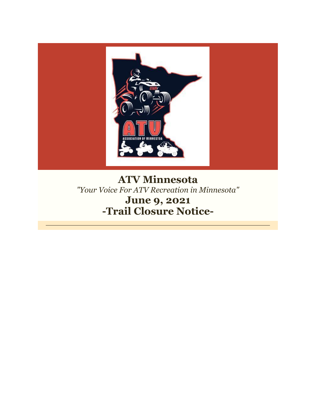

# **ATV Minnesota** *"Your Voice For ATV Recreation in Minnesota"* **June 9, 2021 -Trail Closure Notice-**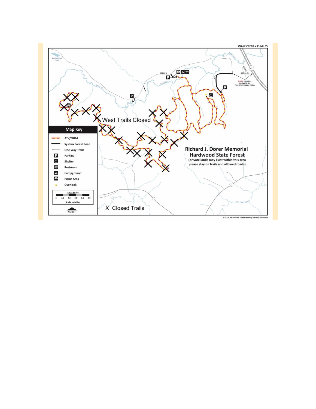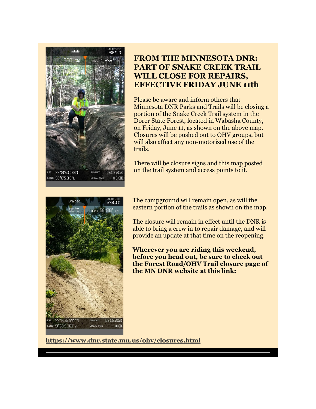

### **FROM THE MINNESOTA DNR: PART OF SNAKE CREEK TRAIL WILL CLOSE FOR REPAIRS, EFFECTIVE FRIDAY JUNE 11th**

Please be aware and inform others that Minnesota DNR Parks and Trails will be closing a portion of the Snake Creek Trail system in the Dorer State Forest, located in Wabasha County, on Friday, June 11, as shown on the above map. Closures will be pushed out to OHV groups, but will also affect any non-motorized use of the trails.

There will be closure signs and this map posted on the trail system and access points to it.



The campground will remain open, as will the eastern portion of the trails as shown on the map.

The closure will remain in effect until the DNR is able to bring a crew in to repair damage, and will provide an update at that time on the reopening.

**Wherever you are riding this weekend, before you head out, be sure to check out the Forest Road/OHV Trail closure page of the MN DNR website at this link:** 

**[https://www.dnr.state.mn.us/ohv/closures.html](https://r20.rs6.net/tn.jsp?f=001zgekYZRaGv-OdvZQEDXOzOnG6Tcx1E6pkbG9xZcUxwmvmXbPj_bCtOueZZO8Owk9mJFRcDoveLgpeIeMve7PLZwcBfyyAr6TLDqb6Y6iuPMBc4IvZjlK8NfxnFLy33ApBN7ttrbzU1nNUGcoJyH-J0pKERdPguTsOYef720Zrkgyd3PCV3RfUw==&c=eqtnZG6Q8KZKPusUxXoJnEEADm0_FCyh-b1xP5mnJwMKzOk8Kp4FQg==&ch=6wbWT_qd8dZkbEtu0v9bCwd42sPI8LtmtjeuYkmeXEwteeuXeijyhA==)**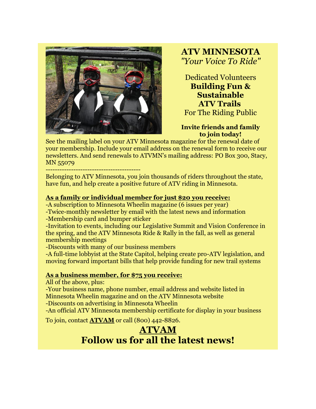

**ATV MINNESOTA** *"Your Voice To Ride"*

Dedicated Volunteers **Building Fun & Sustainable ATV Trails** For The Riding Public

**Invite friends and family to join today!**

See the mailing label on your ATV Minnesota magazine for the renewal date of your membership. Include your email address on the renewal form to receive our newsletters. And send renewals to ATVMN's mailing address: PO Box 300, Stacy, MN 55079

-----------------------------------------

Belonging to ATV Minnesota, you join thousands of riders throughout the state, have fun, and help create a positive future of ATV riding in Minnesota.

### **[As a family or individual member for just \\$20](imap://ervin%40kleinschmidts%2Ecom@mail.kleinschmidts.com:993/fetch%3EUID%3E.INBOX%3E159995) you receive:**

-A subscription to Minnesota Wheelin magazine (6 issues per year)

-Twice-monthly newsletter by email with the latest news and information -Membership card and bumper sticker

-Invitation to events, including our Legislative Summit and Vision Conference in the spring, and the ATV Minnesota Ride & Rally in the fall, as well as general membership meetings

-Discounts with many of our business members

-A full-time lobbyist at the State Capitol, helping create pro-ATV legislation, and moving forward important bills that help provide funding for new trail systems

#### **[As a business member, for \\$75 you receive:](imap://ervin%40kleinschmidts%2Ecom@mail.kleinschmidts.com:993/fetch%3EUID%3E.INBOX%3E159995)**

All of the above, plus:

-Your business name, phone number, email address and website listed in Minnesota Wheelin magazine and on the ATV Minnesota website

-Discounts on advertising in Minnesota Wheelin

-An official ATV Minnesota membership certificate for display in your business

To join, contact **[ATVAM](https://r20.rs6.net/tn.jsp?f=001zgekYZRaGv-OdvZQEDXOzOnG6Tcx1E6pkbG9xZcUxwmvmXbPj_bCtCpf4swlrphDgxM6Te7NBk2N-E0bwtFEEDEI5yejdYPOuI211czHEhyXEADSCPCtqNXhHw568-7fPPRqKipcXQI=&c=eqtnZG6Q8KZKPusUxXoJnEEADm0_FCyh-b1xP5mnJwMKzOk8Kp4FQg==&ch=6wbWT_qd8dZkbEtu0v9bCwd42sPI8LtmtjeuYkmeXEwteeuXeijyhA==)** or call (800) 442-8826.

## **[ATVAM](https://r20.rs6.net/tn.jsp?f=001zgekYZRaGv-OdvZQEDXOzOnG6Tcx1E6pkbG9xZcUxwmvmXbPj_bCtCpf4swlrphDgxM6Te7NBk2N-E0bwtFEEDEI5yejdYPOuI211czHEhyXEADSCPCtqNXhHw568-7fPPRqKipcXQI=&c=eqtnZG6Q8KZKPusUxXoJnEEADm0_FCyh-b1xP5mnJwMKzOk8Kp4FQg==&ch=6wbWT_qd8dZkbEtu0v9bCwd42sPI8LtmtjeuYkmeXEwteeuXeijyhA==) Follow us for all the latest news!**